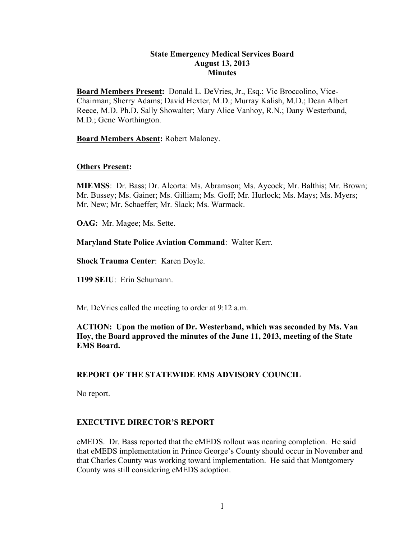## **State Emergency Medical Services Board August 13, 2013 Minutes**

**Board Members Present:** Donald L. DeVries, Jr., Esq.; Vic Broccolino, Vice-Chairman; Sherry Adams; David Hexter, M.D.; Murray Kalish, M.D.; Dean Albert Reece, M.D. Ph.D. Sally Showalter; Mary Alice Vanhoy, R.N.; Dany Westerband, M.D.; Gene Worthington.

**Board Members Absent:** Robert Maloney.

# **Others Present:**

**MIEMSS**: Dr. Bass; Dr. Alcorta: Ms. Abramson; Ms. Aycock; Mr. Balthis; Mr. Brown; Mr. Bussey; Ms. Gainer; Ms. Gilliam; Ms. Goff; Mr. Hurlock; Ms. Mays; Ms. Myers; Mr. New; Mr. Schaeffer; Mr. Slack; Ms. Warmack.

**OAG:** Mr. Magee; Ms. Sette.

**Maryland State Police Aviation Command**: Walter Kerr.

**Shock Trauma Center**: Karen Doyle.

**1199 SEIU**: Erin Schumann.

Mr. DeVries called the meeting to order at 9:12 a.m.

**ACTION: Upon the motion of Dr. Westerband, which was seconded by Ms. Van Hoy, the Board approved the minutes of the June 11, 2013, meeting of the State EMS Board.**

# **REPORT OF THE STATEWIDE EMS ADVISORY COUNCIL**

No report.

# **EXECUTIVE DIRECTOR'S REPORT**

eMEDS. Dr. Bass reported that the eMEDS rollout was nearing completion. He said that eMEDS implementation in Prince George's County should occur in November and that Charles County was working toward implementation. He said that Montgomery County was still considering eMEDS adoption.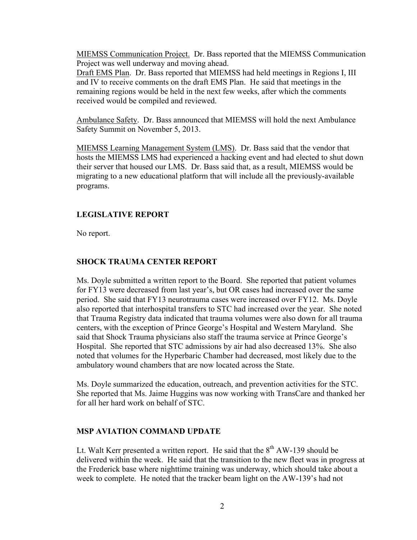MIEMSS Communication Project. Dr. Bass reported that the MIEMSS Communication Project was well underway and moving ahead.

Draft EMS Plan. Dr. Bass reported that MIEMSS had held meetings in Regions I, III and IV to receive comments on the draft EMS Plan. He said that meetings in the remaining regions would be held in the next few weeks, after which the comments received would be compiled and reviewed.

Ambulance Safety. Dr. Bass announced that MIEMSS will hold the next Ambulance Safety Summit on November 5, 2013.

MIEMSS Learning Management System (LMS). Dr. Bass said that the vendor that hosts the MIEMSS LMS had experienced a hacking event and had elected to shut down their server that housed our LMS. Dr. Bass said that, as a result, MIEMSS would be migrating to a new educational platform that will include all the previously-available programs.

#### **LEGISLATIVE REPORT**

No report.

#### **SHOCK TRAUMA CENTER REPORT**

Ms. Doyle submitted a written report to the Board. She reported that patient volumes for FY13 were decreased from last year's, but OR cases had increased over the same period. She said that FY13 neurotrauma cases were increased over FY12. Ms. Doyle also reported that interhospital transfers to STC had increased over the year. She noted that Trauma Registry data indicated that trauma volumes were also down for all trauma centers, with the exception of Prince George's Hospital and Western Maryland. She said that Shock Trauma physicians also staff the trauma service at Prince George's Hospital. She reported that STC admissions by air had also decreased 13%. She also noted that volumes for the Hyperbaric Chamber had decreased, most likely due to the ambulatory wound chambers that are now located across the State.

Ms. Doyle summarized the education, outreach, and prevention activities for the STC. She reported that Ms. Jaime Huggins was now working with TransCare and thanked her for all her hard work on behalf of STC.

#### **MSP AVIATION COMMAND UPDATE**

Lt. Walt Kerr presented a written report. He said that the  $8<sup>th</sup>$  AW-139 should be delivered within the week. He said that the transition to the new fleet was in progress at the Frederick base where nighttime training was underway, which should take about a week to complete. He noted that the tracker beam light on the AW-139's had not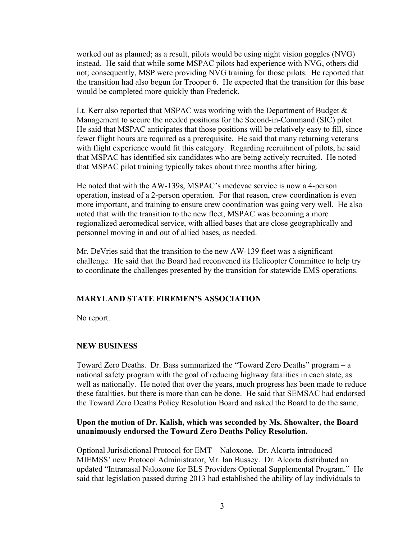worked out as planned; as a result, pilots would be using night vision goggles (NVG) instead. He said that while some MSPAC pilots had experience with NVG, others did not; consequently, MSP were providing NVG training for those pilots. He reported that the transition had also begun for Trooper 6. He expected that the transition for this base would be completed more quickly than Frederick.

Lt. Kerr also reported that MSPAC was working with the Department of Budget  $\&$ Management to secure the needed positions for the Second-in-Command (SIC) pilot. He said that MSPAC anticipates that those positions will be relatively easy to fill, since fewer flight hours are required as a prerequisite. He said that many returning veterans with flight experience would fit this category. Regarding recruitment of pilots, he said that MSPAC has identified six candidates who are being actively recruited. He noted that MSPAC pilot training typically takes about three months after hiring.

He noted that with the AW-139s, MSPAC's medevac service is now a 4-person operation, instead of a 2-person operation. For that reason, crew coordination is even more important, and training to ensure crew coordination was going very well. He also noted that with the transition to the new fleet, MSPAC was becoming a more regionalized aeromedical service, with allied bases that are close geographically and personnel moving in and out of allied bases, as needed.

Mr. DeVries said that the transition to the new AW-139 fleet was a significant challenge. He said that the Board had reconvened its Helicopter Committee to help try to coordinate the challenges presented by the transition for statewide EMS operations.

# **MARYLAND STATE FIREMEN'S ASSOCIATION**

No report.

# **NEW BUSINESS**

Toward Zero Deaths. Dr. Bass summarized the "Toward Zero Deaths" program – a national safety program with the goal of reducing highway fatalities in each state, as well as nationally. He noted that over the years, much progress has been made to reduce these fatalities, but there is more than can be done. He said that SEMSAC had endorsed the Toward Zero Deaths Policy Resolution Board and asked the Board to do the same.

# **Upon the motion of Dr. Kalish, which was seconded by Ms. Showalter, the Board unanimously endorsed the Toward Zero Deaths Policy Resolution.**

Optional Jurisdictional Protocol for EMT – Naloxone. Dr. Alcorta introduced MIEMSS' new Protocol Administrator, Mr. Ian Bussey. Dr. Alcorta distributed an updated "Intranasal Naloxone for BLS Providers Optional Supplemental Program." He said that legislation passed during 2013 had established the ability of lay individuals to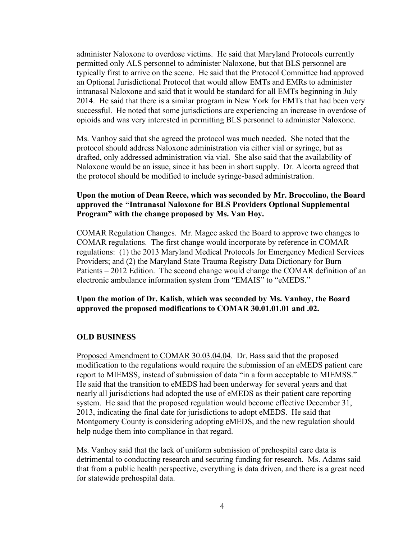administer Naloxone to overdose victims. He said that Maryland Protocols currently permitted only ALS personnel to administer Naloxone, but that BLS personnel are typically first to arrive on the scene. He said that the Protocol Committee had approved an Optional Jurisdictional Protocol that would allow EMTs and EMRs to administer intranasal Naloxone and said that it would be standard for all EMTs beginning in July 2014. He said that there is a similar program in New York for EMTs that had been very successful. He noted that some jurisdictions are experiencing an increase in overdose of opioids and was very interested in permitting BLS personnel to administer Naloxone.

Ms. Vanhoy said that she agreed the protocol was much needed. She noted that the protocol should address Naloxone administration via either vial or syringe, but as drafted, only addressed administration via vial. She also said that the availability of Naloxone would be an issue, since it has been in short supply. Dr. Alcorta agreed that the protocol should be modified to include syringe-based administration.

## **Upon the motion of Dean Reece, which was seconded by Mr. Broccolino, the Board approved the "Intranasal Naloxone for BLS Providers Optional Supplemental Program" with the change proposed by Ms. Van Hoy.**

COMAR Regulation Changes. Mr. Magee asked the Board to approve two changes to COMAR regulations. The first change would incorporate by reference in COMAR regulations: (1) the 2013 Maryland Medical Protocols for Emergency Medical Services Providers; and (2) the Maryland State Trauma Registry Data Dictionary for Burn Patients – 2012 Edition. The second change would change the COMAR definition of an electronic ambulance information system from "EMAIS" to "eMEDS."

#### **Upon the motion of Dr. Kalish, which was seconded by Ms. Vanhoy, the Board approved the proposed modifications to COMAR 30.01.01.01 and .02.**

#### **OLD BUSINESS**

Proposed Amendment to COMAR 30.03.04.04. Dr. Bass said that the proposed modification to the regulations would require the submission of an eMEDS patient care report to MIEMSS, instead of submission of data "in a form acceptable to MIEMSS." He said that the transition to eMEDS had been underway for several years and that nearly all jurisdictions had adopted the use of eMEDS as their patient care reporting system. He said that the proposed regulation would become effective December 31, 2013, indicating the final date for jurisdictions to adopt eMEDS. He said that Montgomery County is considering adopting eMEDS, and the new regulation should help nudge them into compliance in that regard.

Ms. Vanhoy said that the lack of uniform submission of prehospital care data is detrimental to conducting research and securing funding for research. Ms. Adams said that from a public health perspective, everything is data driven, and there is a great need for statewide prehospital data.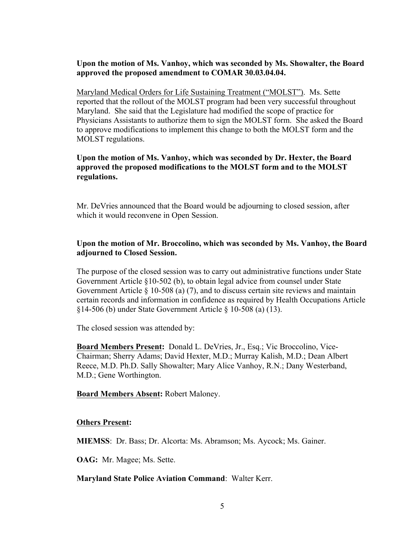# **Upon the motion of Ms. Vanhoy, which was seconded by Ms. Showalter, the Board approved the proposed amendment to COMAR 30.03.04.04.**

Maryland Medical Orders for Life Sustaining Treatment ("MOLST"). Ms. Sette reported that the rollout of the MOLST program had been very successful throughout Maryland. She said that the Legislature had modified the scope of practice for Physicians Assistants to authorize them to sign the MOLST form. She asked the Board to approve modifications to implement this change to both the MOLST form and the MOLST regulations.

# **Upon the motion of Ms. Vanhoy, which was seconded by Dr. Hexter, the Board approved the proposed modifications to the MOLST form and to the MOLST regulations.**

Mr. DeVries announced that the Board would be adjourning to closed session, after which it would reconvene in Open Session.

# **Upon the motion of Mr. Broccolino, which was seconded by Ms. Vanhoy, the Board adjourned to Closed Session.**

The purpose of the closed session was to carry out administrative functions under State Government Article §10-502 (b), to obtain legal advice from counsel under State Government Article § 10-508 (a) (7), and to discuss certain site reviews and maintain certain records and information in confidence as required by Health Occupations Article §14-506 (b) under State Government Article § 10-508 (a) (13).

The closed session was attended by:

**Board Members Present:** Donald L. DeVries, Jr., Esq.; Vic Broccolino, Vice-Chairman; Sherry Adams; David Hexter, M.D.; Murray Kalish, M.D.; Dean Albert Reece, M.D. Ph.D. Sally Showalter; Mary Alice Vanhoy, R.N.; Dany Westerband, M.D.; Gene Worthington.

### **Board Members Absent:** Robert Maloney.

### **Others Present:**

**MIEMSS**: Dr. Bass; Dr. Alcorta: Ms. Abramson; Ms. Aycock; Ms. Gainer.

**OAG:** Mr. Magee; Ms. Sette.

### **Maryland State Police Aviation Command**: Walter Kerr.